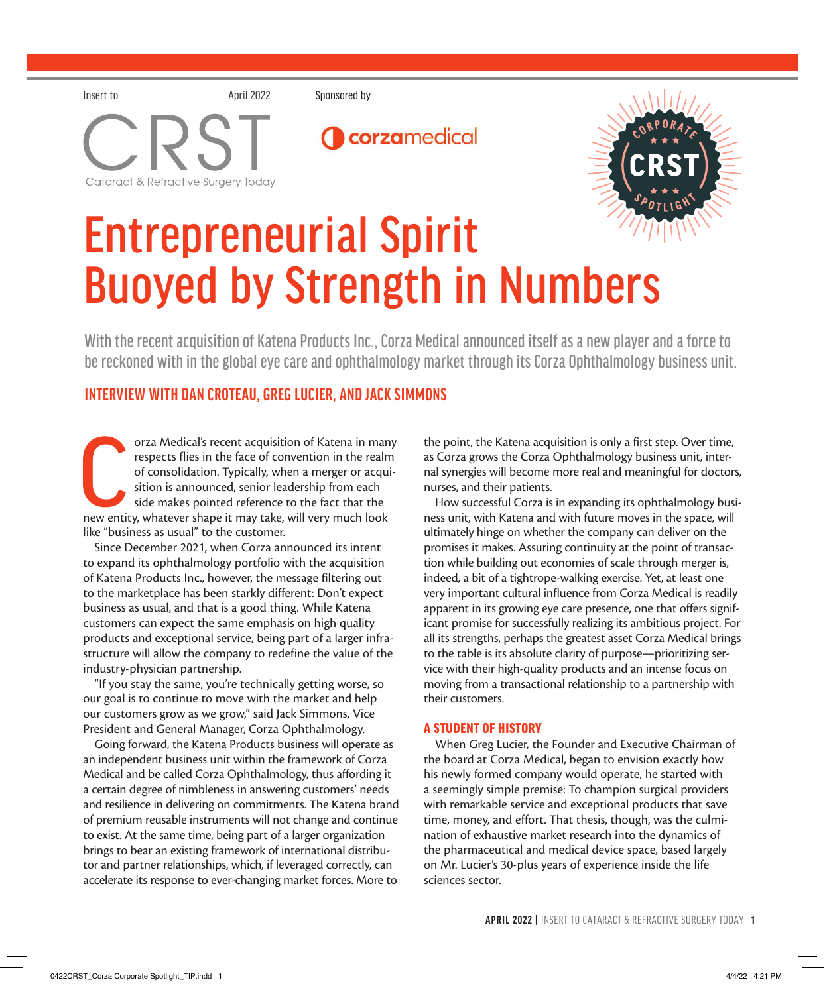





# Entrepreneurial Spirit Buoyed by Strength in Numbers

With the recent acquisition of Katena Products Inc., Corza Medical announced itself as a new player and a force to be reckoned with in the global eye care and ophthalmology market through its Corza Ophthalmology business unit.

### **INTERVIEW WITH DAN CROTEAU, GREG LUCIER, AND JACK SIMMONS**

orza Medical's recent acquisition of Katena in man respects flies in the face of convention in the realm of consolidation. Typically, when a merger or acquisition is announced, senior leadership from each side makes pointe orza Medical's recent acquisition of Katena in many respects flies in the face of convention in the realm of consolidation. Typically, when a merger or acquisition is announced, senior leadership from each side makes pointed reference to the fact that the like "business as usual" to the customer.

Since December 2021, when Corza announced its intent to expand its ophthalmology portfolio with the acquisition of Katena Products Inc., however, the message filtering out to the marketplace has been starkly different: Don't expect business as usual, and that is a good thing. While Katena customers can expect the same emphasis on high quality products and exceptional service, being part of a larger infrastructure will allow the company to redefine the value of the industry-physician partnership.

"If you stay the same, you're technically getting worse, so our goal is to continue to move with the market and help our customers grow as we grow," said Jack Simmons, Vice President and General Manager, Corza Ophthalmology.

Going forward, the Katena Products business will operate as an independent business unit within the framework of Corza Medical and be called Corza Ophthalmology, thus affording it a certain degree of nimbleness in answering customers' needs and resilience in delivering on commitments. The Katena brand of premium reusable instruments will not change and continue to exist. At the same time, being part of a larger organization brings to bear an existing framework of international distributor and partner relationships, which, if leveraged correctly, can accelerate its response to ever-changing market forces. More to

the point, the Katena acquisition is only a first step. Over time, as Corza grows the Corza Ophthalmology business unit, internal synergies will become more real and meaningful for doctors, nurses, and their patients.

How successful Corza is in expanding its ophthalmology business unit, with Katena and with future moves in the space, will ultimately hinge on whether the company can deliver on the promises it makes. Assuring continuity at the point of transaction while building out economies of scale through merger is, indeed, a bit of a tightrope-walking exercise. Yet, at least one very important cultural influence from Corza Medical is readily apparent in its growing eye care presence, one that offers significant promise for successfully realizing its ambitious project. For all its strengths, perhaps the greatest asset Corza Medical brings to the table is its absolute clarity of purpose—prioritizing service with their high-quality products and an intense focus on moving from a transactional relationship to a partnership with their customers.

### A STUDENT OF HISTORY

When Greg Lucier, the Founder and Executive Chairman of the board at Corza Medical, began to envision exactly how his newly formed company would operate, he started with a seemingly simple premise: To champion surgical providers with remarkable service and exceptional products that save time, money, and effort. That thesis, though, was the culmination of exhaustive market research into the dynamics of the pharmaceutical and medical device space, based largely on Mr. Lucier's 30-plus years of experience inside the life sciences sector.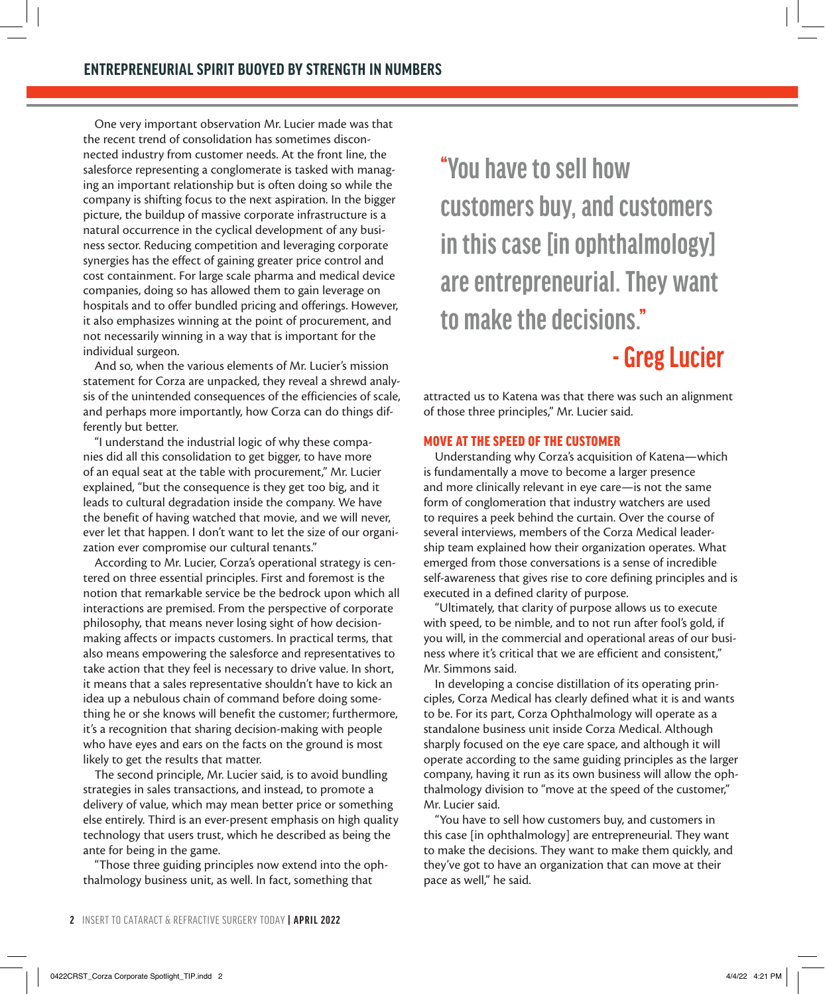One very important observation Mr. Lucier made was that the recent trend of consolidation has sometimes disconnected industry from customer needs. At the front line, the salesforce representing a conglomerate is tasked with managing an important relationship but is often doing so while the company is shifting focus to the next aspiration. In the bigger picture, the buildup of massive corporate infrastructure is a natural occurrence in the cyclical development of any business sector. Reducing competition and leveraging corporate synergies has the effect of gaining greater price control and cost containment. For large scale pharma and medical device companies, doing so has allowed them to gain leverage on hospitals and to offer bundled pricing and offerings. However, it also emphasizes winning at the point of procurement, and not necessarily winning in a way that is important for the individual surgeon.

And so, when the various elements of Mr. Lucier's mission statement for Corza are unpacked, they reveal a shrewd analysis of the unintended consequences of the efficiencies of scale, and perhaps more importantly, how Corza can do things differently but better.

"I understand the industrial logic of why these companies did all this consolidation to get bigger, to have more of an equal seat at the table with procurement," Mr. Lucier explained, "but the consequence is they get too big, and it leads to cultural degradation inside the company. We have the benefit of having watched that movie, and we will never, ever let that happen. I don't want to let the size of our organization ever compromise our cultural tenants."

According to Mr. Lucier, Corza's operational strategy is centered on three essential principles. First and foremost is the notion that remarkable service be the bedrock upon which all interactions are premised. From the perspective of corporate philosophy, that means never losing sight of how decisionmaking affects or impacts customers. In practical terms, that also means empowering the salesforce and representatives to take action that they feel is necessary to drive value. In short, it means that a sales representative shouldn't have to kick an idea up a nebulous chain of command before doing something he or she knows will benefit the customer; furthermore, it's a recognition that sharing decision-making with people who have eyes and ears on the facts on the ground is most likely to get the results that matter.

The second principle, Mr. Lucier said, is to avoid bundling strategies in sales transactions, and instead, to promote a delivery of value, which may mean better price or something else entirely. Third is an ever-present emphasis on high quality technology that users trust, which he described as being the ante for being in the game.

"Those three guiding principles now extend into the ophthalmology business unit, as well. In fact, something that

**"You have to sell how customers buy, and customers in this case [in ophthalmology] are entrepreneurial. They want to make the decisions."**

## **- Greg Lucier**

attracted us to Katena was that there was such an alignment of those three principles," Mr. Lucier said.

### MOVE AT THE SPEED OF THE CUSTOMER

Understanding why Corza's acquisition of Katena—which is fundamentally a move to become a larger presence and more clinically relevant in eye care—is not the same form of conglomeration that industry watchers are used to requires a peek behind the curtain. Over the course of several interviews, members of the Corza Medical leadership team explained how their organization operates. What emerged from those conversations is a sense of incredible self-awareness that gives rise to core defining principles and is executed in a defined clarity of purpose.

"Ultimately, that clarity of purpose allows us to execute with speed, to be nimble, and to not run after fool's gold, if you will, in the commercial and operational areas of our business where it's critical that we are efficient and consistent," Mr. Simmons said.

In developing a concise distillation of its operating principles, Corza Medical has clearly defined what it is and wants to be. For its part, Corza Ophthalmology will operate as a standalone business unit inside Corza Medical. Although sharply focused on the eye care space, and although it will operate according to the same guiding principles as the larger company, having it run as its own business will allow the ophthalmology division to "move at the speed of the customer," Mr. Lucier said.

"You have to sell how customers buy, and customers in this case [in ophthalmology] are entrepreneurial. They want to make the decisions. They want to make them quickly, and they've got to have an organization that can move at their pace as well," he said.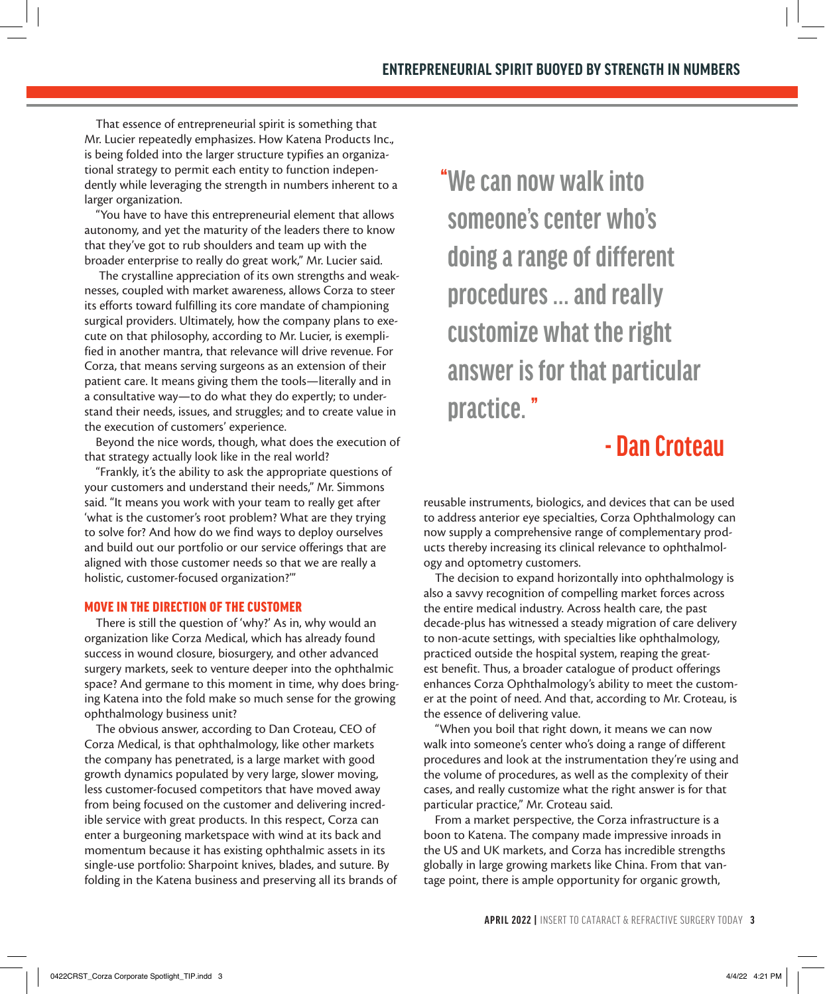That essence of entrepreneurial spirit is something that Mr. Lucier repeatedly emphasizes. How Katena Products Inc., is being folded into the larger structure typifies an organizational strategy to permit each entity to function independently while leveraging the strength in numbers inherent to a larger organization.

"You have to have this entrepreneurial element that allows autonomy, and yet the maturity of the leaders there to know that they've got to rub shoulders and team up with the broader enterprise to really do great work," Mr. Lucier said.

 The crystalline appreciation of its own strengths and weaknesses, coupled with market awareness, allows Corza to steer its efforts toward fulfilling its core mandate of championing surgical providers. Ultimately, how the company plans to execute on that philosophy, according to Mr. Lucier, is exemplified in another mantra, that relevance will drive revenue. For Corza, that means serving surgeons as an extension of their patient care. It means giving them the tools—literally and in a consultative way—to do what they do expertly; to understand their needs, issues, and struggles; and to create value in the execution of customers' experience.

Beyond the nice words, though, what does the execution of that strategy actually look like in the real world?

"Frankly, it's the ability to ask the appropriate questions of your customers and understand their needs," Mr. Simmons said. "It means you work with your team to really get after 'what is the customer's root problem? What are they trying to solve for? And how do we find ways to deploy ourselves and build out our portfolio or our service offerings that are aligned with those customer needs so that we are really a holistic, customer-focused organization?'"

### MOVE IN THE DIRECTION OF THE CUSTOMER

There is still the question of 'why?' As in, why would an organization like Corza Medical, which has already found success in wound closure, biosurgery, and other advanced surgery markets, seek to venture deeper into the ophthalmic space? And germane to this moment in time, why does bringing Katena into the fold make so much sense for the growing ophthalmology business unit?

The obvious answer, according to Dan Croteau, CEO of Corza Medical, is that ophthalmology, like other markets the company has penetrated, is a large market with good growth dynamics populated by very large, slower moving, less customer-focused competitors that have moved away from being focused on the customer and delivering incredible service with great products. In this respect, Corza can enter a burgeoning marketspace with wind at its back and momentum because it has existing ophthalmic assets in its single-use portfolio: Sharpoint knives, blades, and suture. By folding in the Katena business and preserving all its brands of **"We can now walk into someone's center who's doing a range of different procedures ... and really customize what the right answer is for that particular practice. "**

### **- Dan Croteau**

reusable instruments, biologics, and devices that can be used to address anterior eye specialties, Corza Ophthalmology can now supply a comprehensive range of complementary products thereby increasing its clinical relevance to ophthalmology and optometry customers.

The decision to expand horizontally into ophthalmology is also a savvy recognition of compelling market forces across the entire medical industry. Across health care, the past decade-plus has witnessed a steady migration of care delivery to non-acute settings, with specialties like ophthalmology, practiced outside the hospital system, reaping the greatest benefit. Thus, a broader catalogue of product offerings enhances Corza Ophthalmology's ability to meet the customer at the point of need. And that, according to Mr. Croteau, is the essence of delivering value.

"When you boil that right down, it means we can now walk into someone's center who's doing a range of different procedures and look at the instrumentation they're using and the volume of procedures, as well as the complexity of their cases, and really customize what the right answer is for that particular practice," Mr. Croteau said.

From a market perspective, the Corza infrastructure is a boon to Katena. The company made impressive inroads in the US and UK markets, and Corza has incredible strengths globally in large growing markets like China. From that vantage point, there is ample opportunity for organic growth,